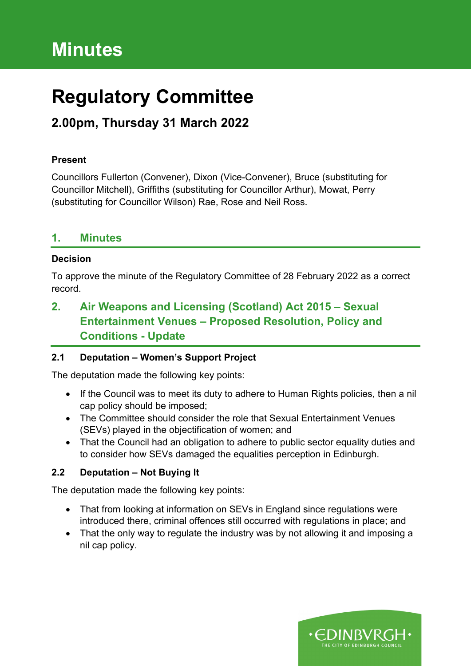## **Minutes**

# **Regulatory Committee**

## **2.00pm, Thursday 31 March 2022**

#### **Present**

Councillors Fullerton (Convener), Dixon (Vice-Convener), Bruce (substituting for Councillor Mitchell), Griffiths (substituting for Councillor Arthur), Mowat, Perry (substituting for Councillor Wilson) Rae, Rose and Neil Ross.

#### **1. Minutes**

#### **Decision**

To approve the minute of the Regulatory Committee of 28 February 2022 as a correct record.

## **2. Air Weapons and Licensing (Scotland) Act 2015 – Sexual Entertainment Venues – Proposed Resolution, Policy and Conditions - Update**

#### **2.1 Deputation – Women's Support Project**

The deputation made the following key points:

- If the Council was to meet its duty to adhere to Human Rights policies, then a nil cap policy should be imposed;
- The Committee should consider the role that Sexual Entertainment Venues (SEVs) played in the objectification of women; and
- That the Council had an obligation to adhere to public sector equality duties and to consider how SEVs damaged the equalities perception in Edinburgh.

#### **2.2 Deputation – Not Buying It**

The deputation made the following key points:

- That from looking at information on SEVs in England since regulations were introduced there, criminal offences still occurred with regulations in place; and
- That the only way to regulate the industry was by not allowing it and imposing a nil cap policy.

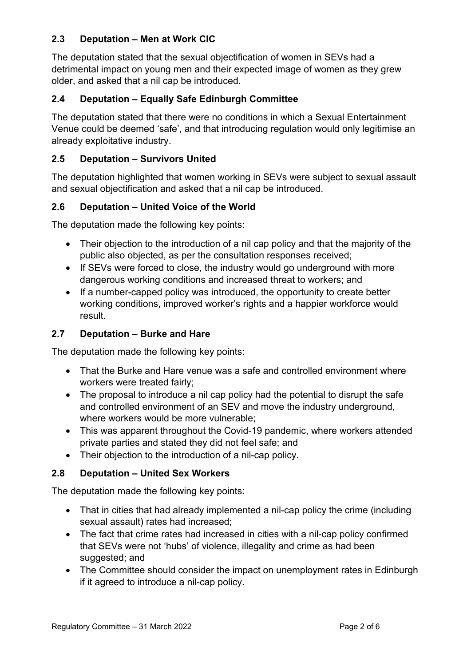#### **2.3 Deputation – Men at Work CIC**

The deputation stated that the sexual objectification of women in SEVs had a detrimental impact on young men and their expected image of women as they grew older, and asked that a nil cap be introduced.

#### **2.4 Deputation – Equally Safe Edinburgh Committee**

The deputation stated that there were no conditions in which a Sexual Entertainment Venue could be deemed 'safe', and that introducing regulation would only legitimise an already exploitative industry.

#### **2.5 Deputation – Survivors United**

The deputation highlighted that women working in SEVs were subject to sexual assault and sexual objectification and asked that a nil cap be introduced.

#### **2.6 Deputation – United Voice of the World**

The deputation made the following key points:

- Their objection to the introduction of a nil cap policy and that the majority of the public also objected, as per the consultation responses received;
- If SEVs were forced to close, the industry would go underground with more dangerous working conditions and increased threat to workers; and
- If a number-capped policy was introduced, the opportunity to create better working conditions, improved worker's rights and a happier workforce would result.

#### **2.7 Deputation – Burke and Hare**

The deputation made the following key points:

- That the Burke and Hare venue was a safe and controlled environment where workers were treated fairly;
- The proposal to introduce a nil cap policy had the potential to disrupt the safe and controlled environment of an SEV and move the industry underground, where workers would be more vulnerable;
- This was apparent throughout the Covid-19 pandemic, where workers attended private parties and stated they did not feel safe; and
- Their objection to the introduction of a nil-cap policy.

#### **2.8 Deputation – United Sex Workers**

The deputation made the following key points:

- That in cities that had already implemented a nil-cap policy the crime (including sexual assault) rates had increased;
- The fact that crime rates had increased in cities with a nil-cap policy confirmed that SEVs were not 'hubs' of violence, illegality and crime as had been suggested; and
- The Committee should consider the impact on unemployment rates in Edinburgh if it agreed to introduce a nil-cap policy.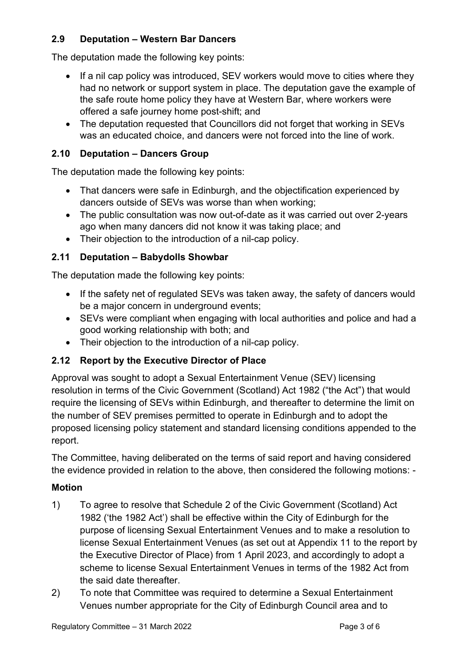#### **2.9 Deputation – Western Bar Dancers**

The deputation made the following key points:

- If a nil cap policy was introduced, SEV workers would move to cities where they had no network or support system in place. The deputation gave the example of the safe route home policy they have at Western Bar, where workers were offered a safe journey home post-shift; and
- The deputation requested that Councillors did not forget that working in SEVs was an educated choice, and dancers were not forced into the line of work.

#### **2.10 Deputation – Dancers Group**

The deputation made the following key points:

- That dancers were safe in Edinburgh, and the objectification experienced by dancers outside of SEVs was worse than when working;
- The public consultation was now out-of-date as it was carried out over 2-years ago when many dancers did not know it was taking place; and
- Their objection to the introduction of a nil-cap policy.

#### **2.11 Deputation – Babydolls Showbar**

The deputation made the following key points:

- If the safety net of regulated SEVs was taken away, the safety of dancers would be a major concern in underground events;
- SEVs were compliant when engaging with local authorities and police and had a good working relationship with both; and
- Their objection to the introduction of a nil-cap policy.

#### **2.12 Report by the Executive Director of Place**

Approval was sought to adopt a Sexual Entertainment Venue (SEV) licensing resolution in terms of the Civic Government (Scotland) Act 1982 ("the Act") that would require the licensing of SEVs within Edinburgh, and thereafter to determine the limit on the number of SEV premises permitted to operate in Edinburgh and to adopt the proposed licensing policy statement and standard licensing conditions appended to the report.

The Committee, having deliberated on the terms of said report and having considered the evidence provided in relation to the above, then considered the following motions: -

#### **Motion**

- 1) To agree to resolve that Schedule 2 of the Civic Government (Scotland) Act 1982 ('the 1982 Act') shall be effective within the City of Edinburgh for the purpose of licensing Sexual Entertainment Venues and to make a resolution to license Sexual Entertainment Venues (as set out at Appendix 11 to the report by the Executive Director of Place) from 1 April 2023, and accordingly to adopt a scheme to license Sexual Entertainment Venues in terms of the 1982 Act from the said date thereafter.
- 2) To note that Committee was required to determine a Sexual Entertainment Venues number appropriate for the City of Edinburgh Council area and to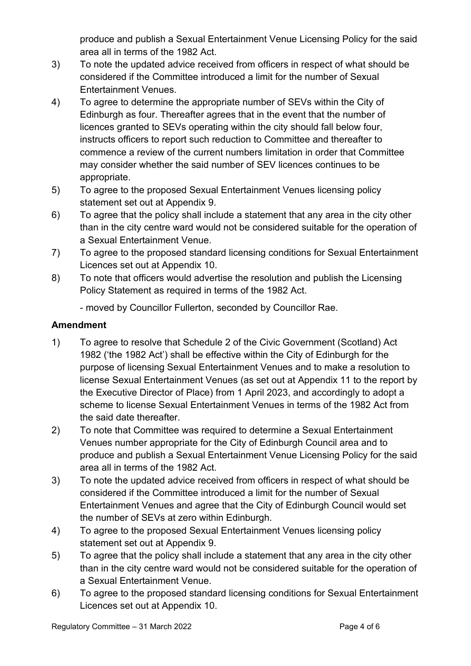produce and publish a Sexual Entertainment Venue Licensing Policy for the said area all in terms of the 1982 Act.

- 3) To note the updated advice received from officers in respect of what should be considered if the Committee introduced a limit for the number of Sexual Entertainment Venues.
- 4) To agree to determine the appropriate number of SEVs within the City of Edinburgh as four. Thereafter agrees that in the event that the number of licences granted to SEVs operating within the city should fall below four, instructs officers to report such reduction to Committee and thereafter to commence a review of the current numbers limitation in order that Committee may consider whether the said number of SEV licences continues to be appropriate.
- 5) To agree to the proposed Sexual Entertainment Venues licensing policy statement set out at Appendix 9.
- 6) To agree that the policy shall include a statement that any area in the city other than in the city centre ward would not be considered suitable for the operation of a Sexual Entertainment Venue.
- 7) To agree to the proposed standard licensing conditions for Sexual Entertainment Licences set out at Appendix 10.
- 8) To note that officers would advertise the resolution and publish the Licensing Policy Statement as required in terms of the 1982 Act.

- moved by Councillor Fullerton, seconded by Councillor Rae.

#### **Amendment**

- 1) To agree to resolve that Schedule 2 of the Civic Government (Scotland) Act 1982 ('the 1982 Act') shall be effective within the City of Edinburgh for the purpose of licensing Sexual Entertainment Venues and to make a resolution to license Sexual Entertainment Venues (as set out at Appendix 11 to the report by the Executive Director of Place) from 1 April 2023, and accordingly to adopt a scheme to license Sexual Entertainment Venues in terms of the 1982 Act from the said date thereafter.
- 2) To note that Committee was required to determine a Sexual Entertainment Venues number appropriate for the City of Edinburgh Council area and to produce and publish a Sexual Entertainment Venue Licensing Policy for the said area all in terms of the 1982 Act.
- 3) To note the updated advice received from officers in respect of what should be considered if the Committee introduced a limit for the number of Sexual Entertainment Venues and agree that the City of Edinburgh Council would set the number of SEVs at zero within Edinburgh.
- 4) To agree to the proposed Sexual Entertainment Venues licensing policy statement set out at Appendix 9.
- 5) To agree that the policy shall include a statement that any area in the city other than in the city centre ward would not be considered suitable for the operation of a Sexual Entertainment Venue.
- 6) To agree to the proposed standard licensing conditions for Sexual Entertainment Licences set out at Appendix 10.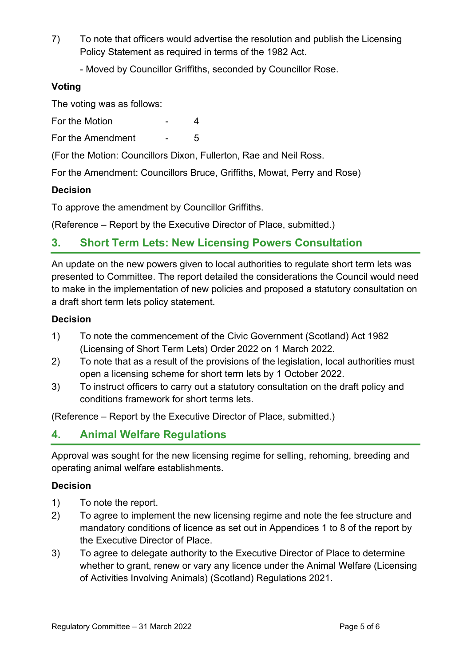7) To note that officers would advertise the resolution and publish the Licensing Policy Statement as required in terms of the 1982 Act.

- Moved by Councillor Griffiths, seconded by Councillor Rose.

#### **Voting**

The voting was as follows:

For the Motion  $\sim$  4

For the Amendment - 5

(For the Motion: Councillors Dixon, Fullerton, Rae and Neil Ross.

For the Amendment: Councillors Bruce, Griffiths, Mowat, Perry and Rose)

#### **Decision**

To approve the amendment by Councillor Griffiths.

(Reference – Report by the Executive Director of Place, submitted.)

### **3. Short Term Lets: New Licensing Powers Consultation**

An update on the new powers given to local authorities to regulate short term lets was presented to Committee. The report detailed the considerations the Council would need to make in the implementation of new policies and proposed a statutory consultation on a draft short term lets policy statement.

#### **Decision**

- 1) To note the commencement of the Civic Government (Scotland) Act 1982 (Licensing of Short Term Lets) Order 2022 on 1 March 2022.
- 2) To note that as a result of the provisions of the legislation, local authorities must open a licensing scheme for short term lets by 1 October 2022.
- 3) To instruct officers to carry out a statutory consultation on the draft policy and conditions framework for short terms lets.

(Reference – Report by the Executive Director of Place, submitted.)

### **4. Animal Welfare Regulations**

Approval was sought for the new licensing regime for selling, rehoming, breeding and operating animal welfare establishments.

#### **Decision**

- 1) To note the report.
- 2) To agree to implement the new licensing regime and note the fee structure and mandatory conditions of licence as set out in Appendices 1 to 8 of the report by the Executive Director of Place.
- 3) To agree to delegate authority to the Executive Director of Place to determine whether to grant, renew or vary any licence under the Animal Welfare (Licensing of Activities Involving Animals) (Scotland) Regulations 2021.